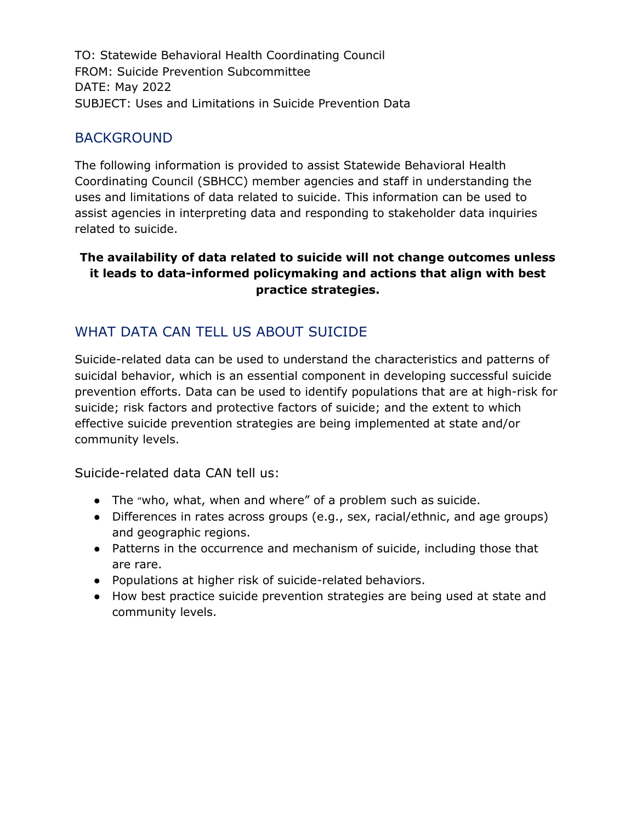TO: Statewide Behavioral Health Coordinating Council FROM: Suicide Prevention Subcommittee DATE: May 2022 SUBJECT: Uses and Limitations in Suicide Prevention Data

#### BACKGROUND

The following information is provided to assist Statewide Behavioral Health Coordinating Council (SBHCC) member agencies and staff in understanding the uses and limitations of data related to suicide. This information can be used to assist agencies in interpreting data and responding to stakeholder data inquiries related to suicide.

#### **The availability of data related to suicide will not change outcomes unless it leads to data-informed policymaking and actions that align with best practice strategies.**

## WHAT DATA CAN TELL US ABOUT SUICIDE

Suicide-related data can be used to understand the characteristics and patterns of suicidal behavior, which is an essential component in developing successful suicide prevention efforts. Data can be used to identify populations that are at high-risk for suicide; risk factors and protective factors of suicide; and the extent to which effective suicide prevention strategies are being implemented at state and/or community levels.

Suicide-related data CAN tell us:

- The "who, what, when and where" of a problem such as suicide.
- Differences in rates across groups (e.g., sex, racial/ethnic, and age groups) and geographic regions.
- Patterns in the occurrence and mechanism of suicide, including those that are rare.
- Populations at higher risk of suicide-related behaviors.
- How best practice suicide prevention strategies are being used at state and community levels.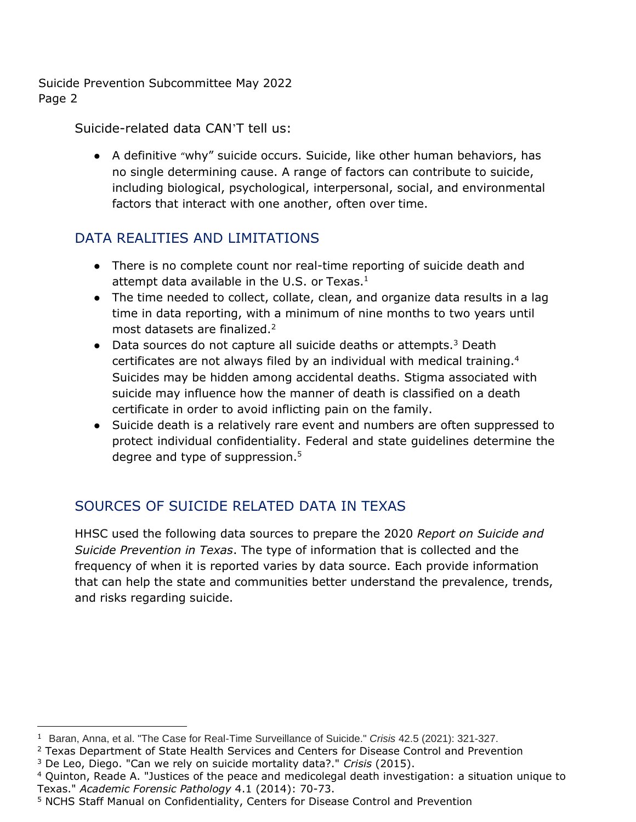Suicide-related data CAN'T tell us:

● A definitive "why" suicide occurs. Suicide, like other human behaviors, has no single determining cause. A range of factors can contribute to suicide, including biological, psychological, interpersonal, social, and environmental factors that interact with one another, often over time.

# DATA REALITIES AND LIMITATIONS

- There is no complete count nor real-time reporting of suicide death and attempt data available in the U.S. or Texas. $<sup>1</sup>$ </sup>
- The time needed to collect, collate, clean, and organize data results in a lag time in data reporting, with a minimum of nine months to two years until most datasets are finalized.<sup>2</sup>
- Data sources do not capture all suicide deaths or attempts. $3$  Death certificates are not always filed by an individual with medical training.<sup>4</sup> Suicides may be hidden among accidental deaths. Stigma associated with suicide may influence how the manner of death is classified on a death certificate in order to avoid inflicting pain on the family.
- Suicide death is a relatively rare event and numbers are often suppressed to protect individual confidentiality. Federal and state guidelines determine the degree and type of suppression.<sup>5</sup>

# SOURCES OF SUICIDE RELATED DATA IN TEXAS

HHSC used the following data sources to prepare the 2020 *Report on Suicide and Suicide Prevention in Texas*. The type of information that is collected and the frequency of when it is reported varies by data source. Each provide information that can help the state and communities better understand the prevalence, trends, and risks regarding suicide.

<sup>1</sup> Baran, Anna, et al. "The Case for Real-Time Surveillance of Suicide." *Crisis* 42.5 (2021): 321-327.

 $2$  Texas Department of State Health Services and Centers for Disease Control and Prevention

<sup>3</sup> De Leo, Diego. "Can we rely on suicide mortality data?." *Crisis* (2015).

<sup>4</sup> Quinton, Reade A. "Justices of the peace and medicolegal death investigation: a situation unique to Texas." *Academic Forensic Pathology* 4.1 (2014): 70-73.

<sup>5</sup> NCHS Staff Manual on Confidentiality, Centers for Disease Control and Prevention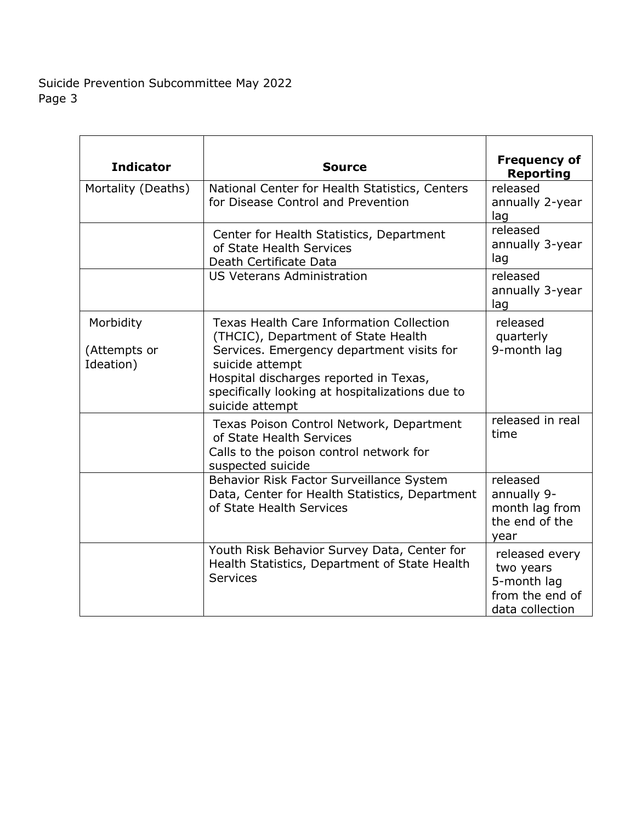| <b>Indicator</b>                       | <b>Source</b>                                                                                                                                                                                                                                                          | <b>Frequency of</b><br><b>Reporting</b>                                          |
|----------------------------------------|------------------------------------------------------------------------------------------------------------------------------------------------------------------------------------------------------------------------------------------------------------------------|----------------------------------------------------------------------------------|
| Mortality (Deaths)                     | National Center for Health Statistics, Centers<br>for Disease Control and Prevention                                                                                                                                                                                   | released<br>annually 2-year<br>lag                                               |
|                                        | Center for Health Statistics, Department<br>of State Health Services<br>Death Certificate Data                                                                                                                                                                         | released<br>annually 3-year<br>lag                                               |
|                                        | <b>US Veterans Administration</b>                                                                                                                                                                                                                                      | released<br>annually 3-year<br>lag                                               |
| Morbidity<br>(Attempts or<br>Ideation) | <b>Texas Health Care Information Collection</b><br>(THCIC), Department of State Health<br>Services. Emergency department visits for<br>suicide attempt<br>Hospital discharges reported in Texas,<br>specifically looking at hospitalizations due to<br>suicide attempt | released<br>quarterly<br>9-month lag                                             |
|                                        | Texas Poison Control Network, Department<br>of State Health Services<br>Calls to the poison control network for<br>suspected suicide                                                                                                                                   | released in real<br>time                                                         |
|                                        | Behavior Risk Factor Surveillance System<br>Data, Center for Health Statistics, Department<br>of State Health Services                                                                                                                                                 | released<br>annually 9-<br>month lag from<br>the end of the<br>vear              |
|                                        | Youth Risk Behavior Survey Data, Center for<br>Health Statistics, Department of State Health<br><b>Services</b>                                                                                                                                                        | released every<br>two years<br>5-month lag<br>from the end of<br>data collection |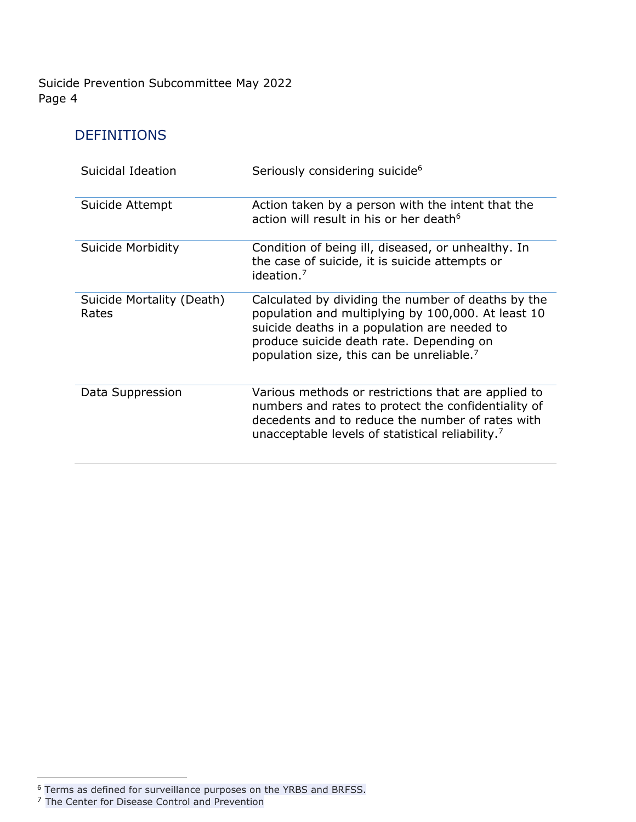### DEFINITIONS

| Suicidal Ideation                  | Seriously considering suicide <sup>6</sup>                                                                                                                                                                                                                    |
|------------------------------------|---------------------------------------------------------------------------------------------------------------------------------------------------------------------------------------------------------------------------------------------------------------|
| Suicide Attempt                    | Action taken by a person with the intent that the<br>action will result in his or her death <sup>6</sup>                                                                                                                                                      |
| Suicide Morbidity                  | Condition of being ill, diseased, or unhealthy. In<br>the case of suicide, it is suicide attempts or<br>ideation. $7$                                                                                                                                         |
| Suicide Mortality (Death)<br>Rates | Calculated by dividing the number of deaths by the<br>population and multiplying by 100,000. At least 10<br>suicide deaths in a population are needed to<br>produce suicide death rate. Depending on<br>population size, this can be unreliable. <sup>7</sup> |
| Data Suppression                   | Various methods or restrictions that are applied to<br>numbers and rates to protect the confidentiality of<br>decedents and to reduce the number of rates with<br>unacceptable levels of statistical reliability. <sup>7</sup>                                |

<sup>&</sup>lt;sup>6</sup> Terms as defined for surveillance purposes on the YRBS and BRFSS.

<sup>&</sup>lt;sup>7</sup> The Center for Disease Control and Prevention